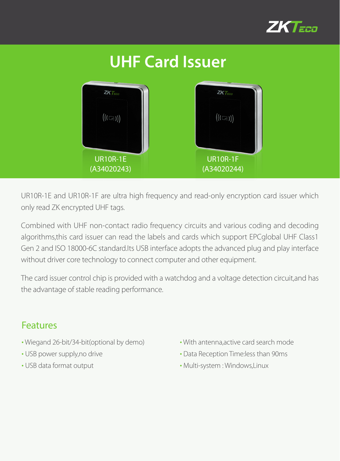

## **UHF Card Issuer**   $ZKT<sub>250</sub>$  $ZKT$  $((\text{C})\text{)}$  $\left(\left(\left(\left(\overline{\mathbb{R}}\right)\right)\right)$ UR10R-1E UR10R-1F (A34020243) (A34020244)

UR10R-1E and UR10R-1F are ultra high frequency and read-only encryption card issuer which only read ZK encrypted UHF tags.

Combined with UHF non-contact radio frequency circuits and various coding and decoding algorithms,this card issuer can read the labels and cards which support EPCglobal UHF Class1 Gen 2 and ISO 18000-6C standard.Its USB interface adopts the advanced plug and play interface without driver core technology to connect computer and other equipment.

The card issuer control chip is provided with a watchdog and a voltage detection circuit,and has the advantage of stable reading performance.

## Features

- Wiegand 26-bit/34-bit(optional by demo)
- USB power supply,no drive
- USB data format output
- With antenna,active card search mode
- Data Reception Time:less than 90ms
- Multi-system : Windows,Linux